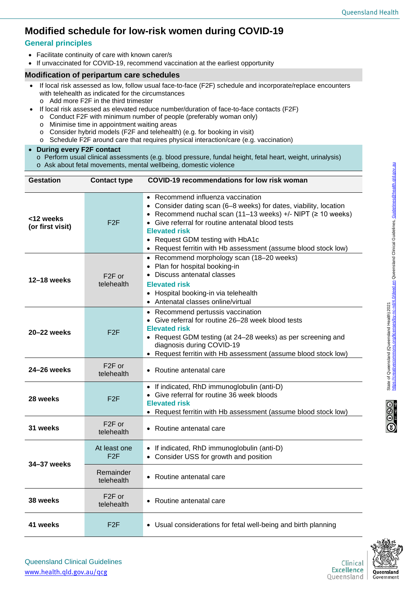## **Modified schedule for low-risk women during COVID-19**

## **General principles**

- Facilitate continuity of care with known carer/s
- If unvaccinated for COVID-19, recommend vaccination at the earliest opportunity

## **Modification of peripartum care schedules**

- If local risk assessed as low, follow usual face-to-face (F2F) schedule and incorporate/replace encounters with telehealth as indicated for the circumstances
	- o Add more F2F in the third trimester
- If local risk assessed as elevated reduce number/duration of face-to-face contacts (F2F)
- o Conduct F2F with minimum number of people (preferably woman only)
- o Minimise time in appointment waiting areas
- o Consider hybrid models (F2F and telehealth) (e.g. for booking in visit)
- o Schedule F2F around care that requires physical interaction/care (e.g. vaccination)

## • **During every F2F contact**

- o Perform usual clinical assessments (e.g. blood pressure, fundal height, fetal heart, weight, urinalysis)
- o Ask about fetal movements, mental wellbeing, domestic violence

| <b>Gestation</b>              | <b>Contact type</b>               | <b>COVID-19 recommendations for low risk woman</b>                                                                                                                                                                                                                                                                                                           |  |
|-------------------------------|-----------------------------------|--------------------------------------------------------------------------------------------------------------------------------------------------------------------------------------------------------------------------------------------------------------------------------------------------------------------------------------------------------------|--|
| <12 weeks<br>(or first visit) | F2F                               | • Recommend influenza vaccination<br>• Consider dating scan (6-8 weeks) for dates, viability, location<br>• Recommend nuchal scan $(11-13$ weeks) +/- NIPT $(≥ 10$ weeks)<br>• Give referral for routine antenatal blood tests<br><b>Elevated risk</b><br>• Request GDM testing with HbA1c<br>• Request ferritin with Hb assessment (assume blood stock low) |  |
| 12-18 weeks                   | F <sub>2</sub> F or<br>telehealth | • Recommend morphology scan (18-20 weeks)<br>• Plan for hospital booking-in<br>• Discuss antenatal classes<br><b>Elevated risk</b><br>• Hospital booking-in via telehealth<br>• Antenatal classes online/virtual                                                                                                                                             |  |
| 20–22 weeks                   | F2F                               | • Recommend pertussis vaccination<br>• Give referral for routine 26-28 week blood tests<br><b>Elevated risk</b><br>• Request GDM testing (at 24-28 weeks) as per screening and<br>diagnosis during COVID-19<br>• Request ferritin with Hb assessment (assume blood stock low)                                                                                |  |
| 24-26 weeks                   | F <sub>2</sub> F or<br>telehealth | • Routine antenatal care                                                                                                                                                                                                                                                                                                                                     |  |
| 28 weeks                      | F2F                               | • If indicated, RhD immunoglobulin (anti-D)<br>Give referral for routine 36 week bloods<br><b>Elevated risk</b><br>• Request ferritin with Hb assessment (assume blood stock low)                                                                                                                                                                            |  |
| 31 weeks                      | F <sub>2</sub> F or<br>telehealth | • Routine antenatal care                                                                                                                                                                                                                                                                                                                                     |  |
| 34-37 weeks                   | At least one<br>F2F               | • If indicated, RhD immunoglobulin (anti-D)<br>• Consider USS for growth and position                                                                                                                                                                                                                                                                        |  |
|                               | Remainder<br>telehealth           | • Routine antenatal care                                                                                                                                                                                                                                                                                                                                     |  |
| 38 weeks                      | F <sub>2</sub> F or<br>telehealth | • Routine antenatal care                                                                                                                                                                                                                                                                                                                                     |  |
| 41 weeks                      | F2F                               | • Usual considerations for fetal well-being and birth planning                                                                                                                                                                                                                                                                                               |  |



State of Queensland (Queensland Health) 2021<br><https://creativecommons.org/licenses/by-nc-nd/4.0/deed.en> Queensland Clinical Guidelines, [Guidelines@health.qld.gov.au](mailto:Guidelines@health.qld.gov.au)

State of Queensland (Queensland Health) 2021

<u>c-nd/4.0/deed.en</u> Queensland Clinical Guidelines, Guidelines@health.qld.gov.au